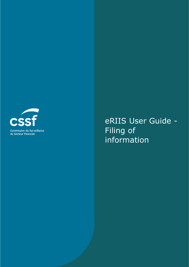

eRIIS User Guide - Filing of information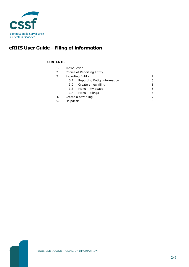

# **eRIIS User Guide - Filing of information**

### **CONTENTS**

| 1. | Introduction               |                              | 3 |
|----|----------------------------|------------------------------|---|
| 2. | Choice of Reporting Entity |                              | 3 |
| 3. | <b>Reporting Entity</b>    |                              | 4 |
|    | 3.1                        | Reporting Entity information | 5 |
|    |                            | 3.2 Create a new filing      | 5 |
|    |                            | 3.3 Menu - My space          | 5 |
|    |                            | 3.4 Menu – Filings           | 6 |
| 4. | Create a new filing        |                              |   |
| 5. | Helpdesk                   |                              | 8 |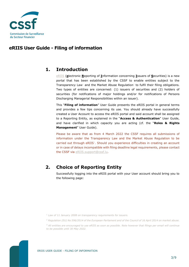

## **eRIIS User Guide - Filing of information**

## <span id="page-2-0"></span>**1. Introduction**

[eRIIS](https://eriis.apps.cssf.lu/) (**e**lectronic **R**eporting of **I**nformation concerning **I**ssuers of **S**ecurities) is a new portal that has been established by the CSSF to enable entities subject to the Transparency Law<sup>1</sup> and the Market Abuse Regulation<sup>2</sup> to fulfil their filing obligations. Two types of entities are concerned: (1) issuers of securities and (2) holders of securities (for notifications of major holdings and/or for notifications of Persons Discharging Managerial Responsibilities within an issuer).

This "**Filing of information**" User Guide presents the eRIIS portal in general terms and provides a few tips concerning its use. You should already have successfully created a User Account to access the eRIIS portal and said account shall be assigned to a Reporting Entity, as explained in the "**Access & Authentication**" User Guide, and have clarified in which capacity you are acting (cf. the "**Roles & Rights Management**" User Guide).

Please be aware that as from 4 March 2022 the CSSF requires all submissions of information under the Transparency Law and the Market Abuse Regulation to be carried out through  $eRIIS<sup>3</sup>$ . Should you experience difficulties in creating an account or in case of delays incompatible with filing deadline legal requirements, please contact the CSSF via [eRIIS.support@cssf.lu.](mailto:eRIIS.support@cssf.lu)

## <span id="page-2-1"></span>**2. Choice of Reporting Entity**

Successfully logging into the eRIIS portal with your User account should bring you to the following page:

*<sup>1</sup> Law of 11 January 2008 on transparency requirements for issuers.*

*<sup>2</sup> Regulation (EU) No 596/2014 of the European Parliament and of the Council of 16 April 2014 on market abuse.*

*<sup>3</sup> All entities are encouraged to use eRIIS as soon as possible. Note however that filings per email will continue to be possible until 30 May 2022.*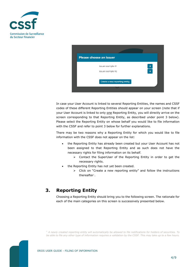



In case your User Account is linked to several Reporting Entities, the names and CSSF codes of these different Reporting Entities should appear on your screen (note that if your User Account is linked to only one Reporting Entity, you will directly arrive on the screen corresponding to that Reporting Entity, as described under point 3 below). Please select the Reporting Entity on whose behalf you would like to file information with the CSSF and refer to point 3 below for further explanations.

There may be two reasons why a Reporting Entity for which you would like to file information with the CSSF does not appear on the list:

- the Reporting Entity has already been created but your User Account has not been assigned to that Reporting Entity and as such does not have the necessary rights for filing information on its behalf.
	- ➢ Contact the SuperUser of the Reporting Entity in order to get the necessary rights.
- the Reporting Entity has not yet been created.
	- ➢ Click on "Create a new reporting entity" and follow the instructions thereafter $^1$ .

## <span id="page-3-0"></span>**3. Reporting Entity**

Choosing a Reporting Entity should bring you to the following screen. The rationale for each of the main categories on this screen is successively presented below.

*<sup>1</sup> A newly created reporting entity will automatically be allowed to file notifications for holders of securities. To be able to file any other type of information requires a validation by the CSSF. This may take up to a few hours.*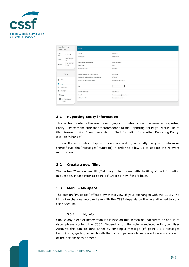



### <span id="page-4-0"></span>**3.1 Reporting Entity information**

This section contains the main identifying information about the selected Reporting Entity. Please make sure that it corresponds to the Reporting Entity you would like to file information for. Should you wish to file information for another Reporting Entity, click on "Change".

In case the information displayed is not up to date, we kindly ask you to inform us thereof (via the "Messages" function) in order to allow us to update the relevant information.

### <span id="page-4-1"></span>**3.2 Create a new filing**

The button "Create a new filing" allows you to proceed with the filing of the information in question. Please refer to point 4 ("Create a new filing") below.

### <span id="page-4-2"></span>**3.3 Menu – My space**

The section "My space" offers a synthetic view of your exchanges with the CSSF. The kind of exchanges you can have with the CSSF depends on the role attached to your User Account.

### 3.3.1 My info

Should any piece of information visualised on this screen be inaccurate or not up to date, please contact the CSSF. Depending on the role associated with your User Account, this can be done either by sending a message (cf. point 3.3.3 Messages below) or by getting in touch with the contact person whose contact details are found at the bottom of this screen.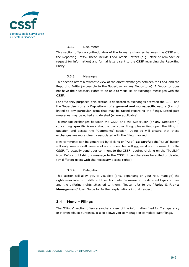

#### 3.3.2 Documents

This section offers a synthetic view of the formal exchanges between the CSSF and the Reporting Entity. These include CSSF official letters (e.g. letter of reminder or request for information) and formal letters sent to the CSSF regarding the Reporting Entity.

#### 3.3.3 Messages

This section offers a synthetic view of the direct exchanges between the CSSF and the Reporting Entity (accessible to the SuperUser or any Depositor+). A Depositor does not have the necessary rights to be able to visualise or exchange messages with the CSSF.

For efficiency purposes, this section is dedicated to exchanges between the CSSF and the SuperUser (or any Depositor+) of a **general and non-specific** nature (i.e. not linked to any particular issue that may be raised regarding the filing). Listed past messages may be edited and deleted (where applicable).

To manage exchanges between the CSSF and the SuperUser (or any Depositor+) concerning **specific** issues about a particular filing, please first open the filing in question and access the "Comments" section. Doing so will ensure that these exchanges are more directly associated with the filing involved.

New comments can be generated by clicking on "Add". **Be careful**: the "Save" button will only save a draft version of a comment but will not send your comment to the CSSF. To actually send your comment to the CSSF requires clicking on the "Publish" icon. Before publishing a message to the CSSF, it can therefore be edited or deleted (by different users with the necessary access rights).

#### 3.3.4 Delegation

This section will allow you to visualise (and, depending on your role, manage) the rights associated with different User Accounts. Be aware of the different types of roles and the differing rights attached to them. Please refer to the "**Roles & Rights Management**" User Guide for further explanations in that respect.

### <span id="page-5-0"></span>**3.4 Menu – Filings**

The "Filings" section offers a synthetic view of the information filed for Transparency or Market Abuse purposes. It also allows you to manage or complete past filings.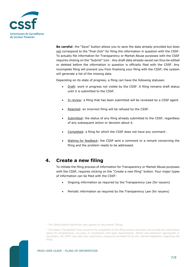

**Be careful**: the "Save" button allows you to save the data already provided but does not correspond to the "final click" for filing the information in question with the CSSF. To actually file information for Transparency or Market Abuse purposes with the CSSF requires clicking on the "Submit" icon<sup>1</sup>. Any draft data already saved can thus be edited or deleted before the information in question is officially filed with the CSSF. Any incomplete filing will prevent you from finalising your filing with the CSSF; the system will generate a list of the missing data.

Depending on its state of progress, a filing can have the following statuses:

- Draft: work in progress not visible by the CSSF. A filing remains draft status until it is submitted to the CSSF.
- In review: a filing that has been submitted will be reviewed by a CSSF agent.
- Rejected: an incorrect filing will be refused by the CSSF.
- Submitted: the status of any filing already submitted to the CSSF, regardless of any subsequent action or decision about it.
- Completed: a filing for which the CSSF does not have any comment?
- <span id="page-6-0"></span>• Waiting for feedback: the CSSF sent a comment or a remark concerning the filing and the problem needs to be addressed.

### **4. Create a new filing**

To initiate the filing process of information for Transparency or Market Abuse purposes with the CSSF, requires clicking on the "Create a new filing" button. Four major types of information can be filed with the CSSF:

- Ongoing information as required by the Transparency Law (for issuers)
- Periodic information as required by the Transparency Law (for issuers)

*<sup>2</sup> The status "Completed" only concerns the completion of the filing process and does not provide any information about its completeness, accuracy or compliance with legal requirements. Where and whenever appropriate or necessary, the CSSF may take any supervisory measures provided for by the relevant legislation regarding the filing.*



*<sup>1</sup> The Save/Submit distinction also applies to documents' filings.*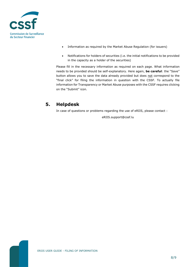

- Information as required by the Market Abuse Regulation (for issuers)
- Notifications for holders of securities (i.e. the initial notifications to be provided in the capacity as a holder of the securities)

Please fill in the necessary information as required on each page. What information needs to be provided should be self-explanatory. Here again, **be careful**: the "Save" button allows you to save the data already provided but does not correspond to the "final click" for filing the information in question with the CSSF. To actually file information for Transparency or Market Abuse purposes with the CSSF requires clicking on the "Submit" icon.

## <span id="page-7-0"></span>**5. Helpdesk**

In case of questions or problems regarding the use of eRIIS, please contact :

eRIIS.support@cssf.lu